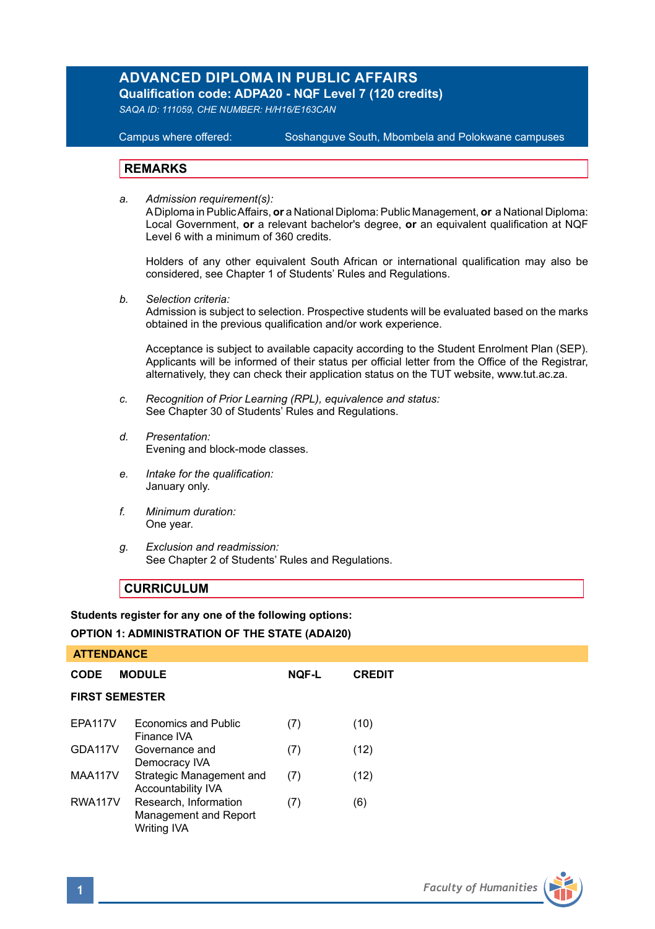# **ADVANCED DIPLOMA IN PUBLIC AFFAIRS**

**Qualification code: ADPA20 - NQF Level 7 (120 credits)** 

*SAQA ID: 111059, CHE NUMBER: H/H16/E163CAN*

## **Campus where offered:**

Soshanguve South, Mbombela and Polokwane campuses

## **REMARKS**

*a. Admission requirement(s):* 

A Diploma in Public Affairs, **or** a National Diploma: Public Management, **or** a National Diploma: Local Government, **or** a relevant bachelor's degree, **or** an equivalent qualification at NQF Level 6 with a minimum of 360 credits.

Holders of any other equivalent South African or international qualification may also be considered, see Chapter 1 of Students' Rules and Regulations.

*b. Selection criteria:*

Admission is subject to selection. Prospective students will be evaluated based on the marks obtained in the previous qualification and/or work experience.

Acceptance is subject to available capacity according to the Student Enrolment Plan (SEP). Applicants will be informed of their status per official letter from the Office of the Registrar, alternatively, they can check their application status on the TUT website, www.tut.ac.za.

- *c. Recognition of Prior Learning (RPL), equivalence and status:* See Chapter 30 of Students' Rules and Regulations.
- *d. Presentation:*  Evening and block-mode classes.
- *e. Intake for the qualification:*  January only.
- *f. Minimum duration:* One year.
- *g. Exclusion and readmission:* See Chapter 2 of Students' Rules and Regulations.

## **CURRICULUM**

## **Students register for any one of the following options:**

## **OPTION 1: ADMINISTRATION OF THE STATE (ADAI20)**

| <b>ATTENDANCE</b>     |                                                               |              |               |  |  |
|-----------------------|---------------------------------------------------------------|--------------|---------------|--|--|
| CODE                  | <b>MODULE</b>                                                 | <b>NOF-L</b> | <b>CREDIT</b> |  |  |
| <b>FIRST SEMESTER</b> |                                                               |              |               |  |  |
| EPA117V               | Economics and Public<br>Finance IVA                           | (7)          | (10)          |  |  |
| GDA117V               | Governance and<br>Democracy IVA                               | (7)          | (12)          |  |  |
| MAA117V               | Strategic Management and<br>Accountability IVA                | (7)          | (12)          |  |  |
| RWA117V               | Research, Information<br>Management and Report<br>Writing IVA | (7)          | (6)           |  |  |

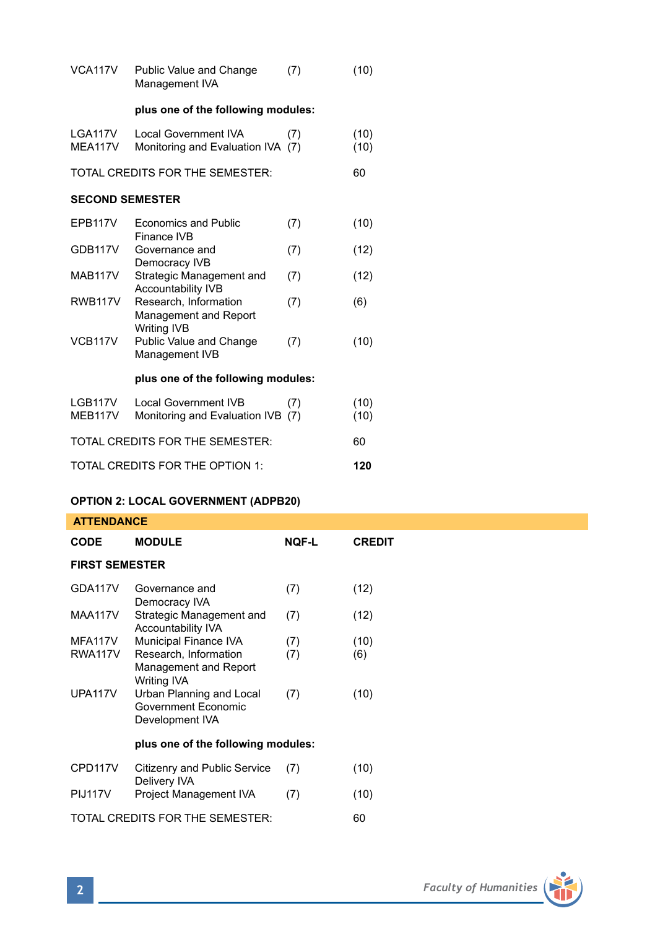| VCA117V                | Public Value and Change<br>Management IVA                        | (7) | (10)         |  |  |
|------------------------|------------------------------------------------------------------|-----|--------------|--|--|
|                        | plus one of the following modules:                               |     |              |  |  |
| LGA117V<br>MEA117V     | <b>Local Government IVA</b><br>Monitoring and Evaluation IVA (7) | (7) | (10)<br>(10) |  |  |
|                        | TOTAL CREDITS FOR THE SEMESTER:                                  |     | 60           |  |  |
| <b>SECOND SEMESTER</b> |                                                                  |     |              |  |  |
| EPB117V                | <b>Economics and Public</b><br>Finance IVB                       | (7) | (10)         |  |  |
| GDB117V                | Governance and<br>Democracy IVB                                  | (7) | (12)         |  |  |
| MAB117V                | Strategic Management and<br><b>Accountability IVB</b>            | (7) | (12)         |  |  |
| <b>RWB117V</b>         | Research, Information<br>Management and Report<br>Writing IVB    | (7) | (6)          |  |  |
| VCB117V                | Public Value and Change<br>Management IVB                        | (7) | (10)         |  |  |
|                        | plus one of the following modules:                               |     |              |  |  |
| LGB117V<br>MEB117V     | <b>Local Government IVB</b><br>Monitoring and Evaluation IVB (7) | (7) | (10)<br>(10) |  |  |
|                        | TOTAL CREDITS FOR THE SEMESTER:                                  |     | 60           |  |  |
|                        | TOTAL CREDITS FOR THE OPTION 1:                                  |     | 120          |  |  |

# **OPTION 2: LOCAL GOVERNMENT (ADPB20)**

| <b>ATTENDANCE</b>     |                                                                      |              |               |  |  |  |
|-----------------------|----------------------------------------------------------------------|--------------|---------------|--|--|--|
| <b>CODE</b>           | <b>MODULE</b>                                                        | <b>NOF-L</b> | <b>CREDIT</b> |  |  |  |
| <b>FIRST SEMESTER</b> |                                                                      |              |               |  |  |  |
| GDA117V               | Governance and<br>Democracy IVA                                      | (7)          | (12)          |  |  |  |
| MAA117V               | Strategic Management and<br><b>Accountability IVA</b>                | (7)          | (12)          |  |  |  |
| MFA117V               | Municipal Finance IVA                                                | (7)          | (10)          |  |  |  |
| RWA117V               | Research, Information<br>Management and Report<br><b>Writing IVA</b> | (7)          | (6)           |  |  |  |
| <b>UPA117V</b>        | Urban Planning and Local<br>Government Economic<br>Development IVA   | (7)          | (10)          |  |  |  |
|                       | plus one of the following modules:                                   |              |               |  |  |  |
| CPD117V               | Citizenry and Public Service<br>Delivery IVA                         | (7)          | (10)          |  |  |  |
| <b>PIJ117V</b>        | Project Management IVA                                               | (7)          | (10)          |  |  |  |
|                       | TOTAL CREDITS FOR THE SEMESTER:                                      |              | 60            |  |  |  |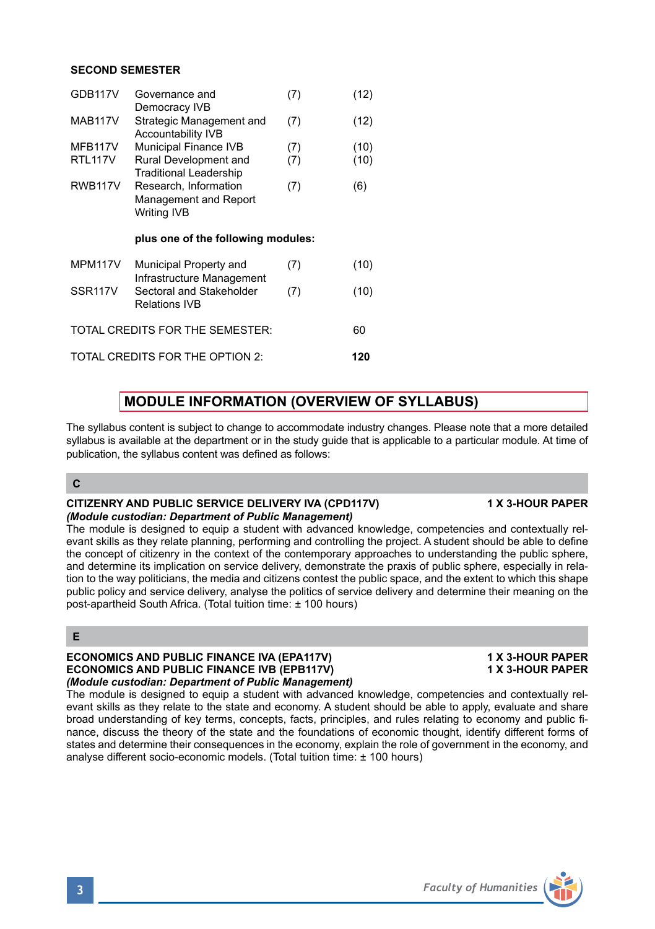## **SECOND SEMESTER**

| GDB117V             | Governance and<br>Democracy IVB                                               | (7) | (12) |
|---------------------|-------------------------------------------------------------------------------|-----|------|
| <b>MAB117V</b>      | Strategic Management and<br><b>Accountability IVB</b>                         | (7) | (12) |
| MFB117V             | Municipal Finance IVB                                                         | (7) | (10) |
| <b>RTL117V</b>      | Rural Development and<br><b>Traditional Leadership</b>                        | (7) | (10) |
| <b>RWB117V</b>      | Research, Information                                                         | (7) | (6)  |
|                     | Management and Report                                                         |     |      |
|                     | Writing IVB                                                                   |     |      |
|                     |                                                                               |     |      |
|                     |                                                                               |     |      |
|                     | plus one of the following modules:                                            |     |      |
| <b>MPM117V</b>      | Municipal Property and                                                        | (7) | (10) |
| SSR <sub>117V</sub> | Infrastructure Management<br>Sectoral and Stakeholder<br><b>Relations IVB</b> | (7) | (10) |
|                     | TOTAL CREDITS FOR THE SEMESTER:                                               |     | 60   |

# **MODULE INFORMATION (OVERVIEW OF SYLLABUS)**

The syllabus content is subject to change to accommodate industry changes. Please note that a more detailed syllabus is available at the department or in the study guide that is applicable to a particular module. At time of publication, the syllabus content was defined as follows:

## **C**

## **CITIZENRY AND PUBLIC SERVICE DELIVERY IVA (CPD117V) 1 X 3-HOUR PAPER** *(Module custodian: Department of Public Management)*

## The module is designed to equip a student with advanced knowledge, competencies and contextually relevant skills as they relate planning, performing and controlling the project. A student should be able to define the concept of citizenry in the context of the contemporary approaches to understanding the public sphere, and determine its implication on service delivery, demonstrate the praxis of public sphere, especially in relation to the way politicians, the media and citizens contest the public space, and the extent to which this shape public policy and service delivery, analyse the politics of service delivery and determine their meaning on the post-apartheid South Africa. (Total tuition time: ± 100 hours)

## **E**

## **ECONOMICS AND PUBLIC FINANCE IVA (EPA117V) 1 X 3-HOUR PAPER<br>
ECONOMICS AND PUBLIC FINANCE IVB (EPB117V) 1 X 3-HOUR PAPER ECONOMICS AND PUBLIC FINANCE IVB (EPB117V)** *(Module custodian: Department of Public Management)*

The module is designed to equip a student with advanced knowledge, competencies and contextually relevant skills as they relate to the state and economy. A student should be able to apply, evaluate and share broad understanding of key terms, concepts, facts, principles, and rules relating to economy and public finance, discuss the theory of the state and the foundations of economic thought, identify different forms of states and determine their consequences in the economy, explain the role of government in the economy, and analyse different socio-economic models. (Total tuition time: ± 100 hours)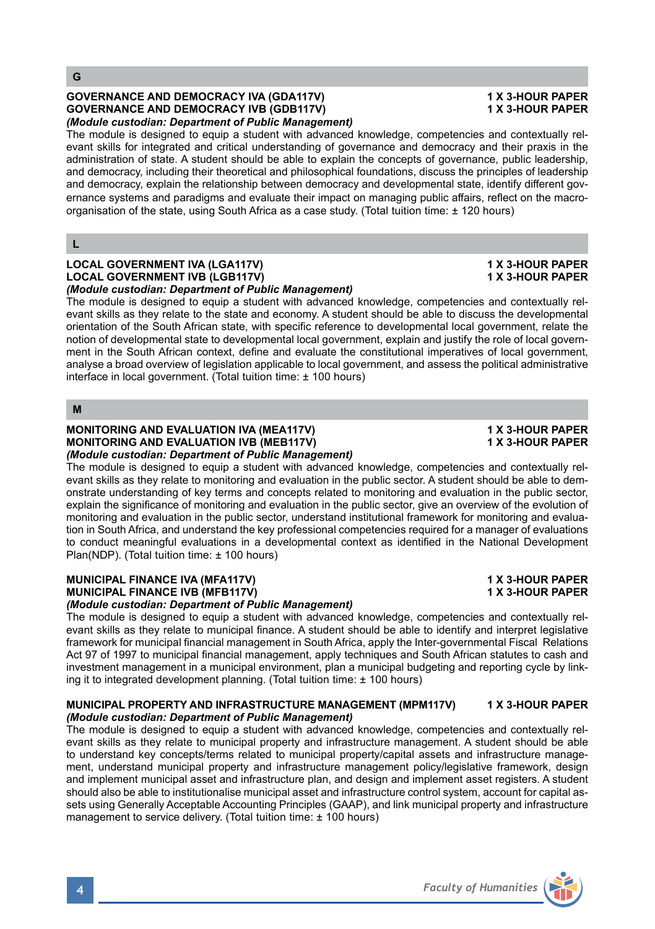## **GOVERNANCE AND DEMOCRACY IVA (GDA117V) 1 X 3-HOUR PAPER GOVERNANCE AND DEMOCRACY IVB (GDB117V)** *(Module custodian: Department of Public Management)*

The module is designed to equip a student with advanced knowledge, competencies and contextually relevant skills for integrated and critical understanding of governance and democracy and their praxis in the administration of state. A student should be able to explain the concepts of governance, public leadership, and democracy, including their theoretical and philosophical foundations, discuss the principles of leadership and democracy, explain the relationship between democracy and developmental state, identify different governance systems and paradigms and evaluate their impact on managing public affairs, reflect on the macroorganisation of the state, using South Africa as a case study. (Total tuition time: ± 120 hours)

## **L**

### **LOCAL GOVERNMENT IVA (LGA117V)** 1 1 X 3-HOUR PAPER<br>
1 OCAL GOVERNMENT IVR (LGB117V) 1 2 3-HOUR PAPER **LOCAL GOVERNMENT IVB (LGB117V)** *(Module custodian: Department of Public Management)*

The module is designed to equip a student with advanced knowledge, competencies and contextually relevant skills as they relate to the state and economy. A student should be able to discuss the developmental orientation of the South African state, with specific reference to developmental local government, relate the notion of developmental state to developmental local government, explain and justify the role of local government in the South African context, define and evaluate the constitutional imperatives of local government, analyse a broad overview of legislation applicable to local government, and assess the political administrative interface in local government. (Total tuition time: ± 100 hours)

## **M**

### **MONITORING AND EVALUATION IVA (MEA117V) 1 X 3-HOUR PAPER MONITORING AND EVALUATION IVB (MEB117V)** *(Module custodian: Department of Public Management)*

The module is designed to equip a student with advanced knowledge, competencies and contextually relevant skills as they relate to monitoring and evaluation in the public sector. A student should be able to demonstrate understanding of key terms and concepts related to monitoring and evaluation in the public sector, explain the significance of monitoring and evaluation in the public sector, give an overview of the evolution of monitoring and evaluation in the public sector, understand institutional framework for monitoring and evaluation in South Africa, and understand the key professional competencies required for a manager of evaluations to conduct meaningful evaluations in a developmental context as identified in the National Development Plan(NDP). (Total tuition time: ± 100 hours)

## **MUNICIPAL FINANCE IVA (MFA117V) 1 X 3-HOUR PAPER MUNICIPAL FINANCE IVB (MFB117V)**

## *(Module custodian: Department of Public Management)*

The module is designed to equip a student with advanced knowledge, competencies and contextually relevant skills as they relate to municipal finance. A student should be able to identify and interpret legislative framework for municipal financial management in South Africa, apply the Inter-governmental Fiscal Relations Act 97 of 1997 to municipal financial management, apply techniques and South African statutes to cash and investment management in a municipal environment, plan a municipal budgeting and reporting cycle by linking it to integrated development planning. (Total tuition time: ± 100 hours)

## **MUNICIPAL PROPERTY AND INFRASTRUCTURE MANAGEMENT (MPM117V) 1 X 3-HOUR PAPER** *(Module custodian: Department of Public Management)*

The module is designed to equip a student with advanced knowledge, competencies and contextually relevant skills as they relate to municipal property and infrastructure management. A student should be able to understand key concepts/terms related to municipal property/capital assets and infrastructure management, understand municipal property and infrastructure management policy/legislative framework, design and implement municipal asset and infrastructure plan, and design and implement asset registers. A student should also be able to institutionalise municipal asset and infrastructure control system, account for capital assets using Generally Acceptable Accounting Principles (GAAP), and link municipal property and infrastructure management to service delivery. (Total tuition time: ± 100 hours)

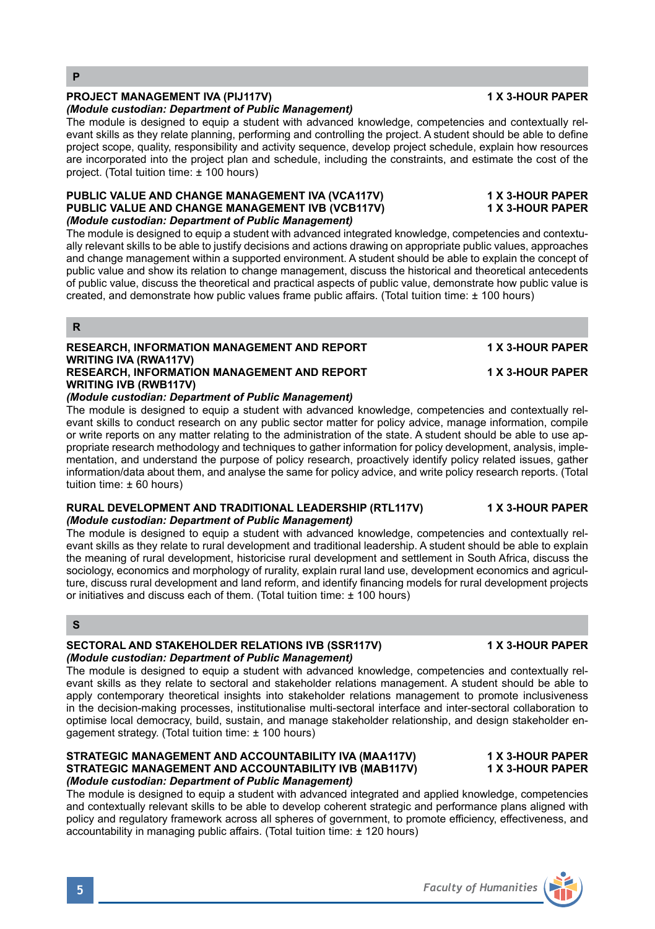**R**

## **PROJECT MANAGEMENT IVA (PIJ117V) 1 X 3-HOUR PAPER**

## *(Module custodian: Department of Public Management)*

The module is designed to equip a student with advanced knowledge, competencies and contextually relevant skills as they relate planning, performing and controlling the project. A student should be able to define project scope, quality, responsibility and activity sequence, develop project schedule, explain how resources are incorporated into the project plan and schedule, including the constraints, and estimate the cost of the project. (Total tuition time: ± 100 hours)

### **PUBLIC VALUE AND CHANGE MANAGEMENT IVA (VCA117V) 1 X 3-HOUR PAPER PUBLIC VALUE AND CHANGE MANAGEMENT IVB (VCB117V)** *(Module custodian: Department of Public Management)*

The module is designed to equip a student with advanced integrated knowledge, competencies and contextually relevant skills to be able to justify decisions and actions drawing on appropriate public values, approaches and change management within a supported environment. A student should be able to explain the concept of public value and show its relation to change management, discuss the historical and theoretical antecedents of public value, discuss the theoretical and practical aspects of public value, demonstrate how public value is created, and demonstrate how public values frame public affairs. (Total tuition time: ± 100 hours)

### **RESEARCH, INFORMATION MANAGEMENT AND REPORT 4 X 3-HOUR PAPER WRITING IVA (RWA117V) RESEARCH, INFORMATION MANAGEMENT AND REPORT 4X 3-HOUR PAPER WRITING IVB (RWB117V)**

## *(Module custodian: Department of Public Management)*

The module is designed to equip a student with advanced knowledge, competencies and contextually relevant skills to conduct research on any public sector matter for policy advice, manage information, compile or write reports on any matter relating to the administration of the state. A student should be able to use appropriate research methodology and techniques to gather information for policy development, analysis, implementation, and understand the purpose of policy research, proactively identify policy related issues, gather information/data about them, and analyse the same for policy advice, and write policy research reports. (Total tuition time: ± 60 hours)

### **RURAL DEVELOPMENT AND TRADITIONAL LEADERSHIP (RTL117V) 1 X 3-HOUR PAPER** *(Module custodian: Department of Public Management)*

The module is designed to equip a student with advanced knowledge, competencies and contextually relevant skills as they relate to rural development and traditional leadership. A student should be able to explain the meaning of rural development, historicise rural development and settlement in South Africa, discuss the sociology, economics and morphology of rurality, explain rural land use, development economics and agriculture, discuss rural development and land reform, and identify financing models for rural development projects or initiatives and discuss each of them. (Total tuition time: ± 100 hours)

## **S**

### SECTORAL AND STAKEHOLDER RELATIONS IVB (SSR117V) **1 A 3-HOUR PAPER** *(Module custodian: Department of Public Management)*

The module is designed to equip a student with advanced knowledge, competencies and contextually relevant skills as they relate to sectoral and stakeholder relations management. A student should be able to apply contemporary theoretical insights into stakeholder relations management to promote inclusiveness in the decision-making processes, institutionalise multi-sectoral interface and inter-sectoral collaboration to optimise local democracy, build, sustain, and manage stakeholder relationship, and design stakeholder engagement strategy. (Total tuition time: ± 100 hours)

## **STRATEGIC MANAGEMENT AND ACCOUNTABILITY IVA (MAA117V) 1 X 3-HOUR PAPER STRATEGIC MANAGEMENT AND ACCOUNTABILITY IVB (MAB117V)** *(Module custodian: Department of Public Management)*

The module is designed to equip a student with advanced integrated and applied knowledge, competencies and contextually relevant skills to be able to develop coherent strategic and performance plans aligned with policy and regulatory framework across all spheres of government, to promote efficiency, effectiveness, and accountability in managing public affairs. (Total tuition time: ± 120 hours)

## **5** *Faculty of Humanities*